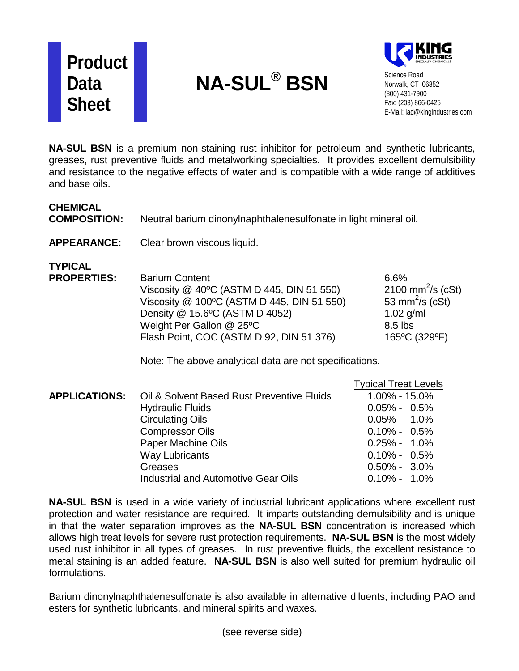

## **NA-SUL® BSN**



Science Road Norwalk, CT 06852 (800) 431-7900 Fax: (203) 866-0425 E-Mail: lad@kingindustries.com

**NA-SUL BSN** is a premium non-staining rust inhibitor for petroleum and synthetic lubricants, greases, rust preventive fluids and metalworking specialties. It provides excellent demulsibility and resistance to the negative effects of water and is compatible with a wide range of additives and base oils.

| <b>CHEMICAL</b><br><b>COMPOSITION:</b><br><b>APPEARANCE:</b> | Neutral barium dinonylnaphthalenesulfonate in light mineral oil.<br>Clear brown viscous liquid.                                                                                                                                                                                       |                                                                                                                                                                                              |
|--------------------------------------------------------------|---------------------------------------------------------------------------------------------------------------------------------------------------------------------------------------------------------------------------------------------------------------------------------------|----------------------------------------------------------------------------------------------------------------------------------------------------------------------------------------------|
| <b>TYPICAL</b><br><b>PROPERTIES:</b>                         | <b>Barium Content</b><br>Viscosity @ 40°C (ASTM D 445, DIN 51 550)<br>Viscosity @ 100°C (ASTM D 445, DIN 51 550)<br>Density @ 15.6°C (ASTM D 4052)<br>Weight Per Gallon @ 25°C<br>Flash Point, COC (ASTM D 92, DIN 51 376)<br>Note: The above analytical data are not specifications. | 6.6%<br>2100 mm <sup>2</sup> /s (cSt)<br>53 mm <sup>2</sup> /s (cSt)<br>$1.02$ g/ml<br>8.5 lbs<br>165°C (329°F)                                                                              |
| <b>APPLICATIONS:</b>                                         | Oil & Solvent Based Rust Preventive Fluids<br><b>Hydraulic Fluids</b><br><b>Circulating Oils</b><br><b>Compressor Oils</b><br>Paper Machine Oils<br><b>Way Lubricants</b><br>Greases<br>Industrial and Automotive Gear Oils                                                           | <b>Typical Treat Levels</b><br>$1.00\% - 15.0\%$<br>$0.05\% - 0.5\%$<br>$0.05\% - 1.0\%$<br>$0.10\% - 0.5\%$<br>$0.25\% - 1.0\%$<br>$0.10\% - 0.5\%$<br>$0.50\% - 3.0\%$<br>$0.10\% - 1.0\%$ |

**NA-SUL BSN** is used in a wide variety of industrial lubricant applications where excellent rust protection and water resistance are required. It imparts outstanding demulsibility and is unique in that the water separation improves as the **NA-SUL BSN** concentration is increased which allows high treat levels for severe rust protection requirements. **NA-SUL BSN** is the most widely used rust inhibitor in all types of greases. In rust preventive fluids, the excellent resistance to metal staining is an added feature. **NA-SUL BSN** is also well suited for premium hydraulic oil formulations.

Barium dinonylnaphthalenesulfonate is also available in alternative diluents, including PAO and esters for synthetic lubricants, and mineral spirits and waxes.